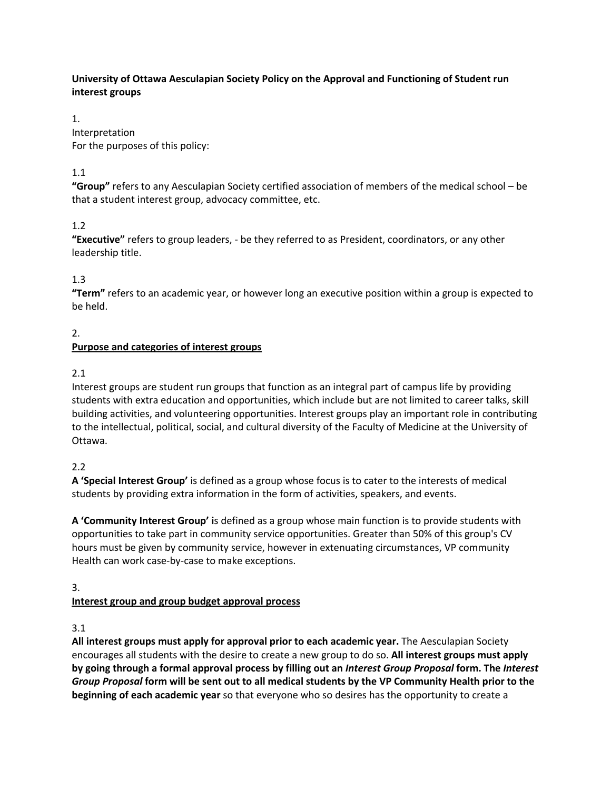### **University of Ottawa Aesculapian Society Policy on the Approval and Functioning of Student run interest groups**

1. Interpretation For the purposes of this policy:

# 1.1

**"Group"** refers to any Aesculapian Society certified association of members of the medical school – be that a student interest group, advocacy committee, etc.

### 1.2

**"Executive"** refers to group leaders, - be they referred to as President, coordinators, or any other leadership title.

# 1.3

**"Term"** refers to an academic year, or however long an executive position within a group is expected to be held.

### 2.

# **Purpose and categories of interest groups**

### 2.1

Interest groups are student run groups that function as an integral part of campus life by providing students with extra education and opportunities, which include but are not limited to career talks, skill building activities, and volunteering opportunities. Interest groups play an important role in contributing to the intellectual, political, social, and cultural diversity of the Faculty of Medicine at the University of Ottawa.

### 2.2

**A 'Special Interest Group'** is defined as a group whose focus is to cater to the interests of medical students by providing extra information in the form of activities, speakers, and events.

**A 'Community Interest Group' i**s defined as a group whose main function is to provide students with opportunities to take part in community service opportunities. Greater than 50% of this group's CV hours must be given by community service, however in extenuating circumstances, VP community Health can work case-by-case to make exceptions.

### 3.

# **Interest group and group budget approval process**

### 3.1

**All interest groups must apply for approval prior to each academic year.** The Aesculapian Society encourages all students with the desire to create a new group to do so. **All interest groups must apply by going through a formal approval process by filling out an** *Interest Group Proposal* **form. The** *Interest Group Proposal* **form will be sent out to all medical students by the VP Community Health prior to the beginning of each academic year** so that everyone who so desires has the opportunity to create a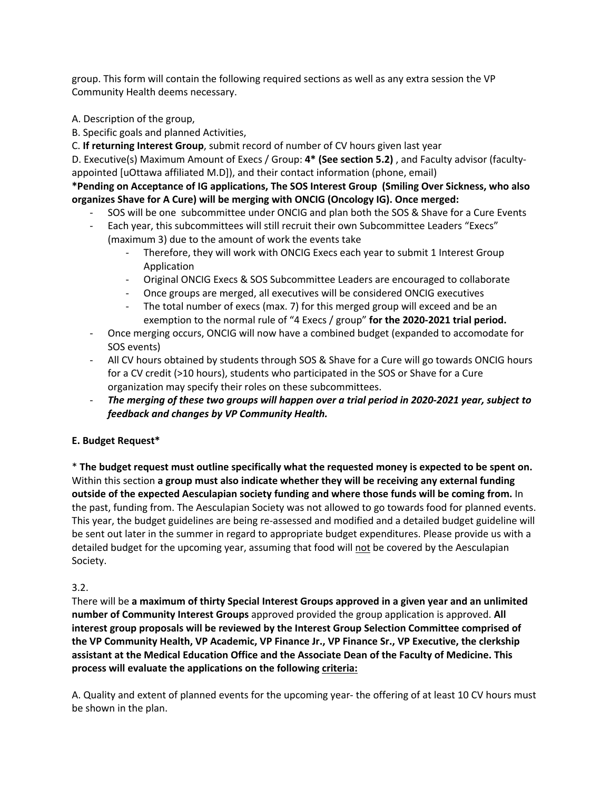group. This form will contain the following required sections as well as any extra session the VP Community Health deems necessary.

- A. Description of the group,
- B. Specific goals and planned Activities,
- C. **If returning Interest Group**, submit record of number of CV hours given last year

D. Executive(s) Maximum Amount of Execs / Group: **4\* (See section 5.2)** , and Faculty advisor (facultyappointed [uOttawa affiliated M.D]), and their contact information (phone, email)

#### **\*Pending on Acceptance of IG applications, The SOS Interest Group (Smiling Over Sickness, who also organizes Shave for A Cure) will be merging with ONCIG (Oncology IG). Once merged:**

- SOS will be one subcommittee under ONCIG and plan both the SOS & Shave for a Cure Events
- Each year, this subcommittees will still recruit their own Subcommittee Leaders "Execs" (maximum 3) due to the amount of work the events take
	- Therefore, they will work with ONCIG Execs each year to submit 1 Interest Group Application
	- Original ONCIG Execs & SOS Subcommittee Leaders are encouraged to collaborate
	- Once groups are merged, all executives will be considered ONCIG executives
	- The total number of execs (max. 7) for this merged group will exceed and be an exemption to the normal rule of "4 Execs / group" **for the 2020-2021 trial period.**
- Once merging occurs, ONCIG will now have a combined budget (expanded to accomodate for SOS events)
- All CV hours obtained by students through SOS & Shave for a Cure will go towards ONCIG hours for a CV credit (>10 hours), students who participated in the SOS or Shave for a Cure organization may specify their roles on these subcommittees.
- *The merging of these two groups will happen over a trial period in 2020-2021 year, subject to feedback and changes by VP Community Health.*

### **E. Budget Request\***

\* **The budget request must outline specifically what the requested money is expected to be spent on.**  Within this section **a group must also indicate whether they will be receiving any external funding outside of the expected Aesculapian society funding and where those funds will be coming from.** In the past, funding from. The Aesculapian Society was not allowed to go towards food for planned events. This year, the budget guidelines are being re-assessed and modified and a detailed budget guideline will be sent out later in the summer in regard to appropriate budget expenditures. Please provide us with a detailed budget for the upcoming year, assuming that food will not be covered by the Aesculapian Society.

### 3.2.

There will be **a maximum of thirty Special Interest Groups approved in a given year and an unlimited number of Community Interest Groups** approved provided the group application is approved. **All interest group proposals will be reviewed by the Interest Group Selection Committee comprised of the VP Community Health, VP Academic, VP Finance Jr., VP Finance Sr., VP Executive, the clerkship assistant at the Medical Education Office and the Associate Dean of the Faculty of Medicine. This process will evaluate the applications on the following criteria:**

A. Quality and extent of planned events for the upcoming year- the offering of at least 10 CV hours must be shown in the plan.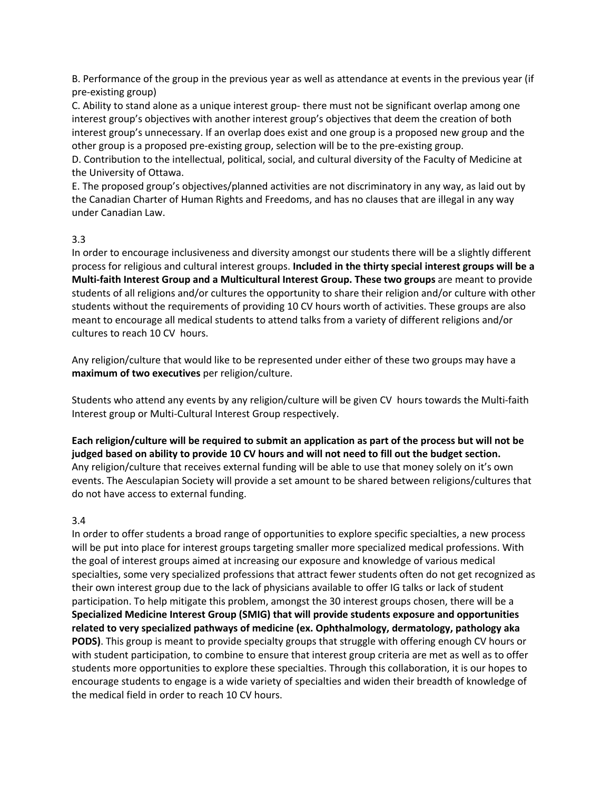B. Performance of the group in the previous year as well as attendance at events in the previous year (if pre-existing group)

C. Ability to stand alone as a unique interest group- there must not be significant overlap among one interest group's objectives with another interest group's objectives that deem the creation of both interest group's unnecessary. If an overlap does exist and one group is a proposed new group and the other group is a proposed pre-existing group, selection will be to the pre-existing group.

D. Contribution to the intellectual, political, social, and cultural diversity of the Faculty of Medicine at the University of Ottawa.

E. The proposed group's objectives/planned activities are not discriminatory in any way, as laid out by the Canadian Charter of Human Rights and Freedoms, and has no clauses that are illegal in any way under Canadian Law.

### 3.3

In order to encourage inclusiveness and diversity amongst our students there will be a slightly different process for religious and cultural interest groups. **Included in the thirty special interest groups will be a Multi-faith Interest Group and a Multicultural Interest Group. These two groups** are meant to provide students of all religions and/or cultures the opportunity to share their religion and/or culture with other students without the requirements of providing 10 CV hours worth of activities. These groups are also meant to encourage all medical students to attend talks from a variety of different religions and/or cultures to reach 10 CV hours.

Any religion/culture that would like to be represented under either of these two groups may have a **maximum of two executives** per religion/culture.

Students who attend any events by any religion/culture will be given CV hours towards the Multi-faith Interest group or Multi-Cultural Interest Group respectively.

**Each religion/culture will be required to submit an application as part of the process but will not be judged based on ability to provide 10 CV hours and will not need to fill out the budget section.** Any religion/culture that receives external funding will be able to use that money solely on it's own events. The Aesculapian Society will provide a set amount to be shared between religions/cultures that do not have access to external funding.

#### 3.4

In order to offer students a broad range of opportunities to explore specific specialties, a new process will be put into place for interest groups targeting smaller more specialized medical professions. With the goal of interest groups aimed at increasing our exposure and knowledge of various medical specialties, some very specialized professions that attract fewer students often do not get recognized as their own interest group due to the lack of physicians available to offer IG talks or lack of student participation. To help mitigate this problem, amongst the 30 interest groups chosen, there will be a **Specialized Medicine Interest Group (SMIG) that will provide students exposure and opportunities related to very specialized pathways of medicine (ex. Ophthalmology, dermatology, pathology aka PODS)**. This group is meant to provide specialty groups that struggle with offering enough CV hours or with student participation, to combine to ensure that interest group criteria are met as well as to offer students more opportunities to explore these specialties. Through this collaboration, it is our hopes to encourage students to engage is a wide variety of specialties and widen their breadth of knowledge of the medical field in order to reach 10 CV hours.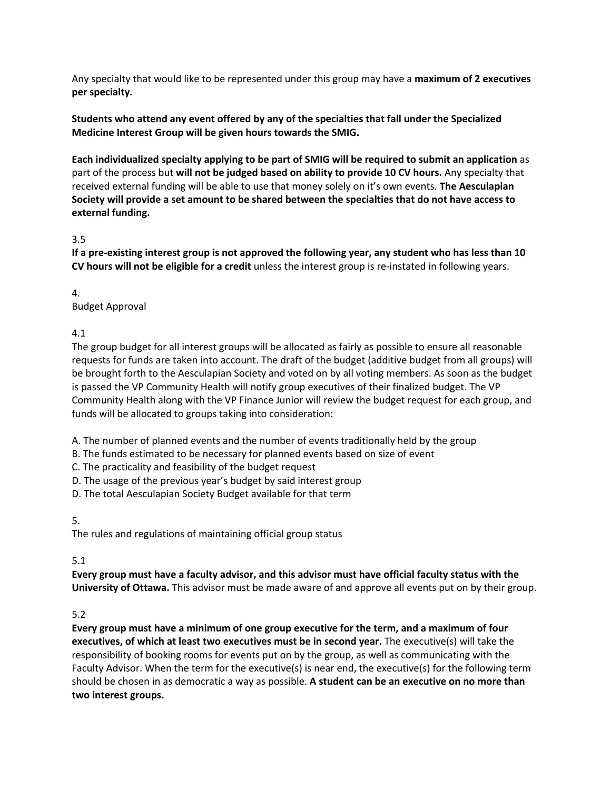Any specialty that would like to be represented under this group may have a **maximum of 2 executives per specialty.**

**Students who attend any event offered by any of the specialties that fall under the Specialized Medicine Interest Group will be given hours towards the SMIG.**

**Each individualized specialty applying to be part of SMIG will be required to submit an application** as part of the process but **will not be judged based on ability to provide 10 CV hours.** Any specialty that received external funding will be able to use that money solely on it's own events. **The Aesculapian Society will provide a set amount to be shared between the specialties that do not have access to external funding.**

#### 3.5

**If a pre-existing interest group is not approved the following year, any student who has less than 10 CV hours will not be eligible for a credit** unless the interest group is re-instated in following years.

4.

Budget Approval

4.1

The group budget for all interest groups will be allocated as fairly as possible to ensure all reasonable requests for funds are taken into account. The draft of the budget (additive budget from all groups) will be brought forth to the Aesculapian Society and voted on by all voting members. As soon as the budget is passed the VP Community Health will notify group executives of their finalized budget. The VP Community Health along with the VP Finance Junior will review the budget request for each group, and funds will be allocated to groups taking into consideration:

A. The number of planned events and the number of events traditionally held by the group

B. The funds estimated to be necessary for planned events based on size of event

C. The practicality and feasibility of the budget request

D. The usage of the previous year's budget by said interest group

D. The total Aesculapian Society Budget available for that term

5.

The rules and regulations of maintaining official group status

### 5.1

**Every group must have a faculty advisor, and this advisor must have official faculty status with the University of Ottawa.** This advisor must be made aware of and approve all events put on by their group.

### 5.2

**Every group must have a minimum of one group executive for the term, and a maximum of four executives, of which at least two executives must be in second year.** The executive(s) will take the responsibility of booking rooms for events put on by the group, as well as communicating with the Faculty Advisor. When the term for the executive(s) is near end, the executive(s) for the following term should be chosen in as democratic a way as possible. **A student can be an executive on no more than two interest groups.**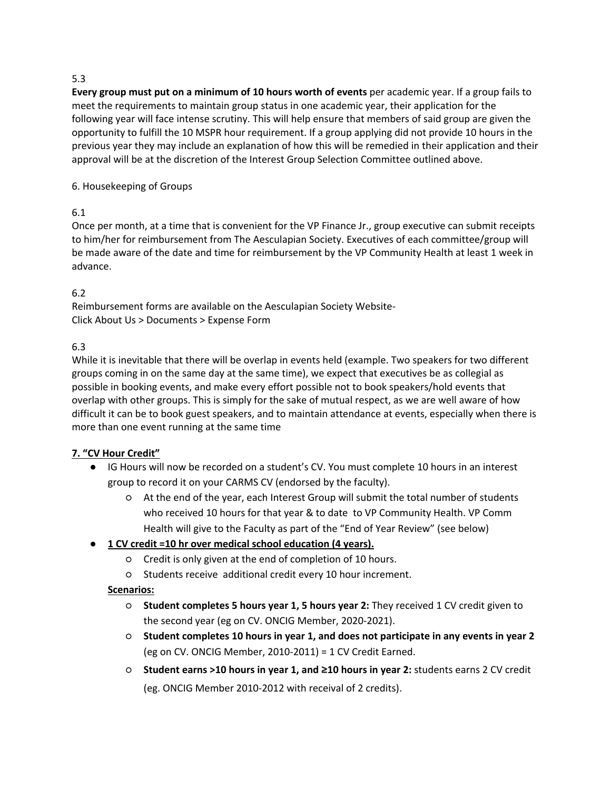### 5.3

**Every group must put on a minimum of 10 hours worth of events** per academic year. If a group fails to meet the requirements to maintain group status in one academic year, their application for the following year will face intense scrutiny. This will help ensure that members of said group are given the opportunity to fulfill the 10 MSPR hour requirement. If a group applying did not provide 10 hours in the previous year they may include an explanation of how this will be remedied in their application and their approval will be at the discretion of the Interest Group Selection Committee outlined above.

#### 6. Housekeeping of Groups

### 6.1

Once per month, at a time that is convenient for the VP Finance Jr., group executive can submit receipts to him/her for reimbursement from The Aesculapian Society. Executives of each committee/group will be made aware of the date and time for reimbursement by the VP Community Health at least 1 week in advance.

# 6.2

Reimbursement forms are available on the Aesculapian Society Website-Click About Us > Documents > Expense Form

#### 6.3

While it is inevitable that there will be overlap in events held (example. Two speakers for two different groups coming in on the same day at the same time), we expect that executives be as collegial as possible in booking events, and make every effort possible not to book speakers/hold events that overlap with other groups. This is simply for the sake of mutual respect, as we are well aware of how difficult it can be to book guest speakers, and to maintain attendance at events, especially when there is more than one event running at the same time

### **7. "CV Hour Credit"**

- IG Hours will now be recorded on a student's CV. You must complete 10 hours in an interest group to record it on your CARMS CV (endorsed by the faculty).
	- At the end of the year, each Interest Group will submit the total number of students who received 10 hours for that year & to date to VP Community Health. VP Comm Health will give to the Faculty as part of the "End of Year Review" (see below)

### ● **1 CV credit =10 hr over medical school education (4 years).**

- Credit is only given at the end of completion of 10 hours.
- Students receive additional credit every 10 hour increment.

### **Scenarios:**

- **Student completes 5 hours year 1, 5 hours year 2:** They received 1 CV credit given to the second year (eg on CV. ONCIG Member, 2020-2021).
- **Student completes 10 hours in year 1, and does not participate in any events in year 2**  (eg on CV. ONCIG Member, 2010-2011) = 1 CV Credit Earned.
- **Student earns >10 hours in year 1, and** !**10 hours in year 2:** students earns 2 CV credit (eg. ONCIG Member 2010-2012 with receival of 2 credits).